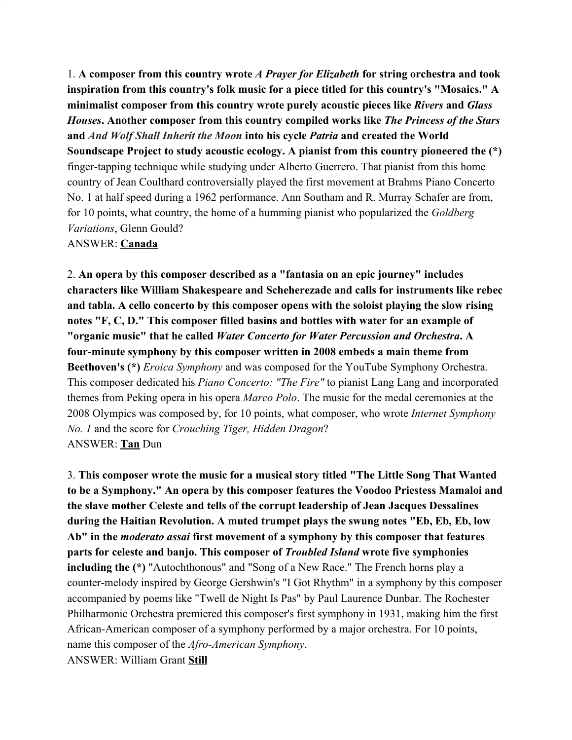1. **A composer from this country wrote** *A Prayer for Elizabeth* **for string orchestra and took inspiration from this country's folk music for a piece titled for this country's "Mosaics." A minimalist composer from this country wrote purely acoustic pieces like** *Rivers* **and** *Glass Houses***. Another composer from this country compiled works like** *The Princess of the Stars* **and** *And Wolf Shall Inherit the Moon* **into his cycle** *Patria* **and created the World Soundscape Project to study acoustic ecology. A pianist from this country pioneered the (\*)** finger-tapping technique while studying under Alberto Guerrero. That pianist from this home country of Jean Coulthard controversially played the first movement at Brahms Piano Concerto No. 1 at half speed during a 1962 performance. Ann Southam and R. Murray Schafer are from, for 10 points, what country, the home of a humming pianist who popularized the *Goldberg Variations*, Glenn Gould?

## ANSWER: **Canada**

2. **An opera by this composer described as a "fantasia on an epic journey" includes characters like William Shakespeare and Scheherezade and calls for instruments like rebec and tabla. A cello concerto by this composer opens with the soloist playing the slow rising notes "F, C, D." This composer filled basins and bottles with water for an example of "organic music" that he called** *Water Concerto for Water Percussion and Orchestra***. A four-minute symphony by this composer written in 2008 embeds a main theme from Beethoven's (\*)** *Eroica Symphony* and was composed for the YouTube Symphony Orchestra. This composer dedicated his *Piano Concerto: "The Fire"* to pianist Lang Lang and incorporated themes from Peking opera in his opera *Marco Polo*. The music for the medal ceremonies at the 2008 Olympics was composed by, for 10 points, what composer, who wrote *Internet Symphony No. 1* and the score for *Crouching Tiger, Hidden Dragon*? ANSWER: **Tan** Dun

3. **This composer wrote the music for a musical story titled "The Little Song That Wanted to be a Symphony." An opera by this composer features the Voodoo Priestess Mamaloi and the slave mother Celeste and tells of the corrupt leadership of Jean Jacques Dessalines during the Haitian Revolution. A muted trumpet plays the swung notes "Eb, Eb, Eb, low Ab" in the** *moderato assai* **first movement of a symphony by this composer that features parts for celeste and banjo. This composer of** *Troubled Island* **wrote five symphonies including the (\*)** "Autochthonous" and "Song of a New Race." The French horns play a counter-melody inspired by George Gershwin's "I Got Rhythm" in a symphony by this composer accompanied by poems like "Twell de Night Is Pas" by Paul Laurence Dunbar. The Rochester Philharmonic Orchestra premiered this composer's first symphony in 1931, making him the first African-American composer of a symphony performed by a major orchestra. For 10 points, name this composer of the *Afro-American Symphony*. ANSWER: William Grant **Still**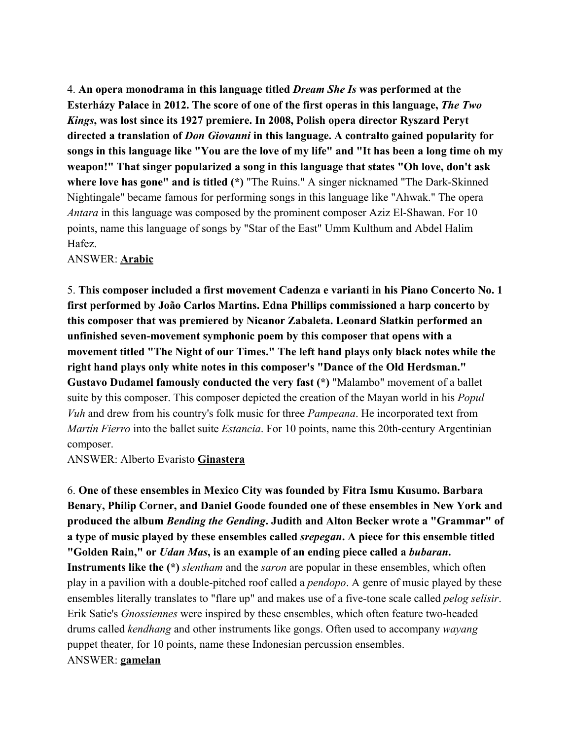4. **An opera monodrama in this language titled** *Dream She Is* **was performed at the Esterházy Palace in 2012. The score of one of the first operas in this language,** *The Two Kings***, was lost since its 1927 premiere. In 2008, Polish opera director Ryszard Peryt directed a translation of** *Don Giovanni* **in this language. A contralto gained popularity for songs in this language like "You are the love of my life" and "It has been a long time oh my weapon!" That singer popularized a song in this language that states "Oh love, don't ask where love has gone" and is titled (\*)** "The Ruins." A singer nicknamed "The Dark-Skinned Nightingale" became famous for performing songs in this language like "Ahwak." The opera *Antara* in this language was composed by the prominent composer Aziz El-Shawan. For 10 points, name this language of songs by "Star of the East" Umm Kulthum and Abdel Halim Hafez.

ANSWER: **Arabic**

5. **This composer included a first movement Cadenza e varianti in his Piano Concerto No. 1 first performed by João Carlos Martins. Edna Phillips commissioned a harp concerto by this composer that was premiered by Nicanor Zabaleta. Leonard Slatkin performed an unfinished seven-movement symphonic poem by this composer that opens with a movement titled "The Night of our Times." The left hand plays only black notes while the right hand plays only white notes in this composer's "Dance of the Old Herdsman." Gustavo Dudamel famously conducted the very fast (\*)** "Malambo" movement of a ballet suite by this composer. This composer depicted the creation of the Mayan world in his *Popul Vuh* and drew from his country's folk music for three *Pampeana*. He incorporated text from *Martín Fierro* into the ballet suite *Estancia*. For 10 points, name this 20th-century Argentinian composer.

ANSWER: Alberto Evaristo **Ginastera**

6. **One of these ensembles in Mexico City was founded by Fitra Ismu Kusumo. Barbara Benary, Philip Corner, and Daniel Goode founded one of these ensembles in New York and produced the album** *Bending the Gending***. Judith and Alton Becker wrote a "Grammar" of a type of music played by these ensembles called** *srepegan***. A piece for this ensemble titled "Golden Rain," or** *Udan Mas***, is an example of an ending piece called a** *bubaran***. Instruments like the (\*)** *slentham* and the *saron* are popular in these ensembles, which often play in a pavilion with a double-pitched roof called a *pendopo*. A genre of music played by these ensembles literally translates to "flare up" and makes use of a five-tone scale called *pelog selisir*. Erik Satie's *Gnossiennes* were inspired by these ensembles, which often feature two-headed drums called *kendhang* and other instruments like gongs. Often used to accompany *wayang* puppet theater, for 10 points, name these Indonesian percussion ensembles. ANSWER: **gamelan**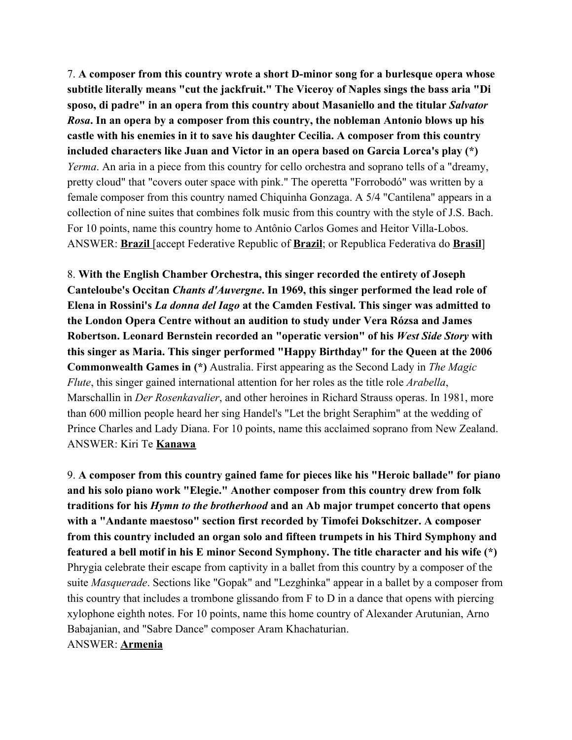7. **A composer from this country wrote a short D-minor song for a burlesque opera whose subtitle literally means "cut the jackfruit." The Viceroy of Naples sings the bass aria "Di sposo, di padre" in an opera from this country about Masaniello and the titular** *Salvator Rosa***. In an opera by a composer from this country, the nobleman Antonio blows up his castle with his enemies in it to save his daughter Cecilia. A composer from this country included characters like Juan and Victor in an opera based on Garcia Lorca's play (\*)** *Yerma*. An aria in a piece from this country for cello orchestra and soprano tells of a "dreamy, pretty cloud" that "covers outer space with pink." The operetta "Forrobodó" was written by a female composer from this country named Chiquinha Gonzaga. A 5/4 "Cantilena" appears in a collection of nine suites that combines folk music from this country with the style of J.S. Bach. For 10 points, name this country home to Antônio Carlos Gomes and Heitor Villa-Lobos. ANSWER: **Brazil** [accept Federative Republic of **Brazil**; or Republica Federativa do **Brasil**]

8. **With the English Chamber Orchestra, this singer recorded the entirety of Joseph Canteloube's Occitan** *Chants d'Auvergne***. In 1969, this singer performed the lead role of Elena in Rossini's** *La donna del Iago* **at the Camden Festival. This singer was admitted to the London Opera Centre without an audition to study under Vera Rózsa and James Robertson. Leonard Bernstein recorded an "operatic version" of his** *West Side Story* **with this singer as Maria. This singer performed "Happy Birthday" for the Queen at the 2006 Commonwealth Games in (\*)** Australia. First appearing as the Second Lady in *The Magic Flute*, this singer gained international attention for her roles as the title role *Arabella*, Marschallin in *Der Rosenkavalier*, and other heroines in Richard Strauss operas. In 1981, more than 600 million people heard her sing Handel's "Let the bright Seraphim" at the wedding of Prince Charles and Lady Diana. For 10 points, name this acclaimed soprano from New Zealand. ANSWER: Kiri Te **Kanawa**

9. **A composer from this country gained fame for pieces like his "Heroic ballade" for piano and his solo piano work "Elegie." Another composer from this country drew from folk traditions for his** *Hymn to the brotherhood* **and an Ab major trumpet concerto that opens with a "Andante maestoso" section first recorded by Timofei Dokschitzer. A composer from this country included an organ solo and fifteen trumpets in his Third Symphony and featured a bell motif in his E minor Second Symphony. The title character and his wife (\*)** Phrygia celebrate their escape from captivity in a ballet from this country by a composer of the suite *Masquerade*. Sections like "Gopak" and "Lezghinka" appear in a ballet by a composer from this country that includes a trombone glissando from F to D in a dance that opens with piercing xylophone eighth notes. For 10 points, name this home country of Alexander Arutunian, Arno Babajanian, and "Sabre Dance" composer Aram Khachaturian. ANSWER: **Armenia**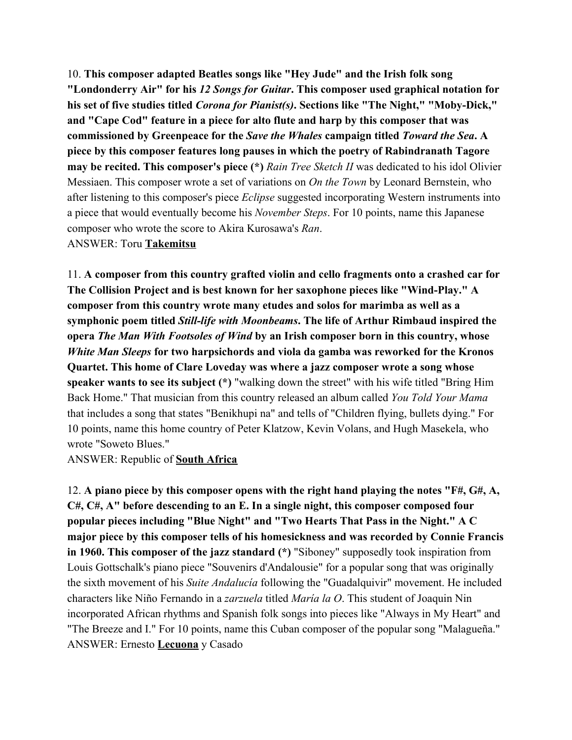10. **This composer adapted Beatles songs like "Hey Jude" and the Irish folk song "Londonderry Air" for his** *12 Songs for Guitar***. This composer used graphical notation for his set of five studies titled** *Corona for Pianist(s)***. Sections like "The Night," "Moby-Dick," and "Cape Cod" feature in a piece for alto flute and harp by this composer that was commissioned by Greenpeace for the** *Save the Whales* **campaign titled** *Toward the Sea***. A piece by this composer features long pauses in which the poetry of Rabindranath Tagore may be recited. This composer's piece (\*)** *Rain Tree Sketch II* was dedicated to his idol Olivier Messiaen. This composer wrote a set of variations on *On the Town* by Leonard Bernstein, who after listening to this composer's piece *Eclipse* suggested incorporating Western instruments into a piece that would eventually become his *November Steps*. For 10 points, name this Japanese composer who wrote the score to Akira Kurosawa's *Ran*. ANSWER: Toru **Takemitsu**

11. **A composer from this country grafted violin and cello fragments onto a crashed car for The Collision Project and is best known for her saxophone pieces like "Wind-Play." A composer from this country wrote many etudes and solos for marimba as well as a symphonic poem titled** *Still-life with Moonbeams***. The life of Arthur Rimbaud inspired the opera** *The Man With Footsoles of Wind* **by an Irish composer born in this country, whose** *White Man Sleeps* **for two harpsichords and viola da gamba was reworked for the Kronos Quartet. This home of Clare Loveday was where a jazz composer wrote a song whose speaker wants to see its subject (\*)** "walking down the street" with his wife titled "Bring Him Back Home." That musician from this country released an album called *You Told Your Mama* that includes a song that states "Benikhupi na" and tells of "Children flying, bullets dying." For 10 points, name this home country of Peter Klatzow, Kevin Volans, and Hugh Masekela, who wrote "Soweto Blues."

ANSWER: Republic of **South Africa**

12. **A piano piece by this composer opens with the right hand playing the notes "F#, G#, A, C#, C#, A" before descending to an E. In a single night, this composer composed four popular pieces including "Blue Night" and "Two Hearts That Pass in the Night." A C major piece by this composer tells of his homesickness and was recorded by Connie Francis in 1960. This composer of the jazz standard (\*)** "Siboney" supposedly took inspiration from Louis Gottschalk's piano piece "Souvenirs d'Andalousie" for a popular song that was originally the sixth movement of his *Suite Andalucía* following the "Guadalquivir" movement. He included characters like Niño Fernando in a *zarzuela* titled *María la O*. This student of Joaquin Nin incorporated African rhythms and Spanish folk songs into pieces like "Always in My Heart" and "The Breeze and I." For 10 points, name this Cuban composer of the popular song "Malagueña." ANSWER: Ernesto **Lecuona** y Casado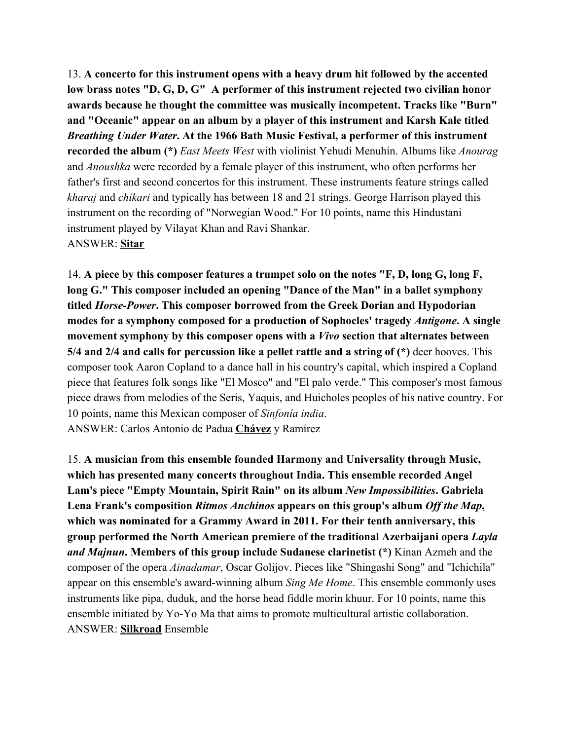13. **A concerto for this instrument opens with a heavy drum hit followed by the accented low brass notes "D, G, D, G" A performer of this instrument rejected two civilian honor awards because he thought the committee was musically incompetent. Tracks like "Burn" and "Oceanic" appear on an album by a player of this instrument and Karsh Kale titled** *Breathing Under Water***. At the 1966 Bath Music Festival, a performer of this instrument recorded the album (\*)** *East Meets West* with violinist Yehudi Menuhin. Albums like *Anourag* and *Anoushka* were recorded by a female player of this instrument, who often performs her father's first and second concertos for this instrument. These instruments feature strings called *kharaj* and *chikari* and typically has between 18 and 21 strings. George Harrison played this instrument on the recording of "Norwegian Wood." For 10 points, name this Hindustani instrument played by Vilayat Khan and Ravi Shankar. ANSWER: **Sitar**

14. **A piece by this composer features a trumpet solo on the notes "F, D, long G, long F, long G." This composer included an opening "Dance of the Man" in a ballet symphony titled** *Horse-Power***. This composer borrowed from the Greek Dorian and Hypodorian modes for a symphony composed for a production of Sophocles' tragedy** *Antigone***. A single movement symphony by this composer opens with a** *Vivo* **section that alternates between 5/4 and 2/4 and calls for percussion like a pellet rattle and a string of (\*)** deer hooves. This composer took Aaron Copland to a dance hall in his country's capital, which inspired a Copland piece that features folk songs like "El Mosco" and "El palo verde." This composer's most famous piece draws from melodies of the Seris, Yaquis, and Huicholes peoples of his native country. For 10 points, name this Mexican composer of *Sinfonía india*. ANSWER: Carlos Antonio de Padua **Chávez** y Ramírez

15. **A musician from this ensemble founded Harmony and Universality through Music, which has presented many concerts throughout India. This ensemble recorded Angel Lam's piece "Empty Mountain, Spirit Rain" on its album** *New Impossibilities***. Gabriela Lena Frank's composition** *Ritmos Anchinos* **appears on this group's album** *Off the Map***, which was nominated for a Grammy Award in 2011. For their tenth anniversary, this group performed the North American premiere of the traditional Azerbaijani opera** *Layla and Majnun***. Members of this group include Sudanese clarinetist (\*)** Kinan Azmeh and the composer of the opera *Ainadamar*, Oscar Golijov. Pieces like "Shingashi Song" and "Ichichila" appear on this ensemble's award-winning album *Sing Me Home*. This ensemble commonly uses instruments like pipa, duduk, and the horse head fiddle morin khuur. For 10 points, name this ensemble initiated by Yo-Yo Ma that aims to promote multicultural artistic collaboration. ANSWER: **Silkroad** Ensemble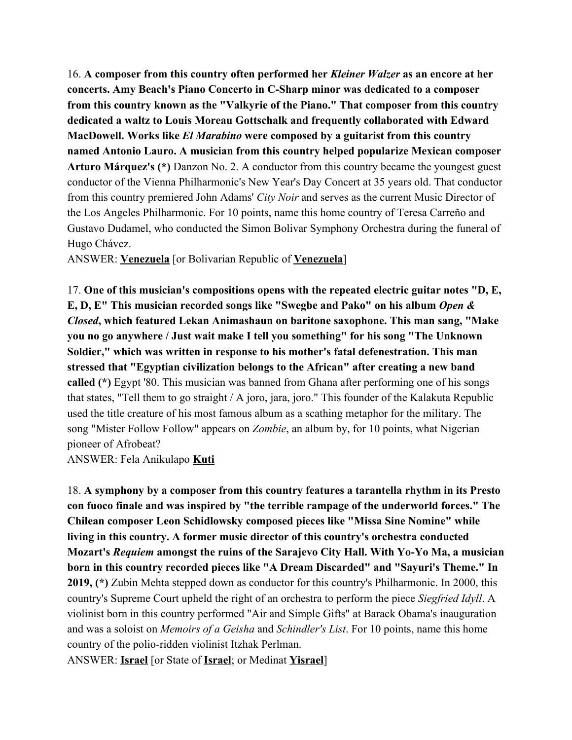16. **A composer from this country often performed her** *Kleiner Walzer* **as an encore at her concerts. Amy Beach's Piano Concerto in C-Sharp minor was dedicated to a composer from this country known as the "Valkyrie of the Piano." That composer from this country dedicated a waltz to Louis Moreau Gottschalk and frequently collaborated with Edward MacDowell. Works like** *El Marabino* **were composed by a guitarist from this country named Antonio Lauro. A musician from this country helped popularize Mexican composer Arturo Márquez's (\*)** Danzon No. 2. A conductor from this country became the youngest guest conductor of the Vienna Philharmonic's New Year's Day Concert at 35 years old. That conductor from this country premiered John Adams' *City Noir* and serves as the current Music Director of the Los Angeles Philharmonic. For 10 points, name this home country of Teresa Carreño and Gustavo Dudamel, who conducted the Simon Bolivar Symphony Orchestra during the funeral of Hugo Chávez.

ANSWER: **Venezuela** [or Bolivarian Republic of **Venezuela**]

17. **One of this musician's compositions opens with the repeated electric guitar notes "D, E, E, D, E" This musician recorded songs like "Swegbe and Pako" on his album** *Open & Closed***, which featured Lekan Animashaun on baritone saxophone. This man sang, "Make you no go anywhere / Just wait make I tell you something" for his song "The Unknown Soldier," which was written in response to his mother's fatal defenestration. This man stressed that "Egyptian civilization belongs to the African" after creating a new band called (\*)** Egypt '80. This musician was banned from Ghana after performing one of his songs that states, "Tell them to go straight / A joro, jara, joro." This founder of the Kalakuta Republic used the title creature of his most famous album as a scathing metaphor for the military. The song "Mister Follow Follow" appears on *Zombie*, an album by, for 10 points, what Nigerian pioneer of Afrobeat?

ANSWER: Fela Anikulapo **Kuti**

18. **A symphony by a composer from this country features a tarantella rhythm in its Presto con fuoco finale and was inspired by "the terrible rampage of the underworld forces." The Chilean composer Leon Schidlowsky composed pieces like "Missa Sine Nomine" while living in this country. A former music director of this country's orchestra conducted Mozart's** *Requiem* **amongst the ruins of the Sarajevo City Hall. With Yo-Yo Ma, a musician born in this country recorded pieces like "A Dream Discarded" and "Sayuri's Theme." In 2019, (\*)** Zubin Mehta stepped down as conductor for this country's Philharmonic. In 2000, this country's Supreme Court upheld the right of an orchestra to perform the piece *Siegfried Idyll*. A violinist born in this country performed "Air and Simple Gifts" at Barack Obama's inauguration and was a soloist on *Memoirs of a Geisha* and *Schindler's List*. For 10 points, name this home country of the polio-ridden violinist Itzhak Perlman.

ANSWER: **Israel** [or State of **Israel**; or Medinat **Yisrael**]